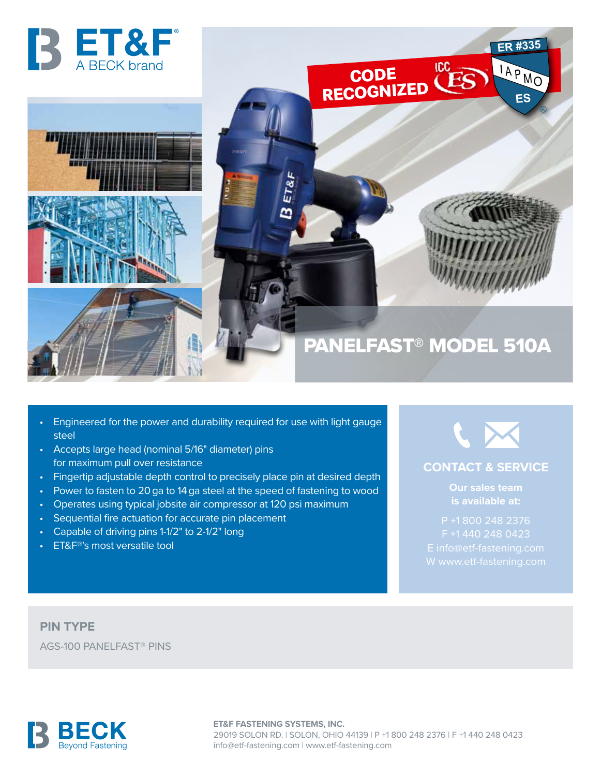

- Engineered for the power and durability required for use with light gauge steel
- Accepts large head (nominal 5/16" diameter) pins for maximum pull over resistance
- Fingertip adjustable depth control to precisely place pin at desired depth
- Power to fasten to 20 ga to 14 ga steel at the speed of fastening to wood
- Operates using typical jobsite air compressor at 120 psi maximum
- Sequential fire actuation for accurate pin placement
- Capable of driving pins 1-1/2" to 2-1/2" long
- ET&F®'s most versatile tool



## **CONTACT & SERVICE**

**Our sales team** 

P +1 800 248 2376

**PIN TYPE** AGS-100 PANELFAST® PINS